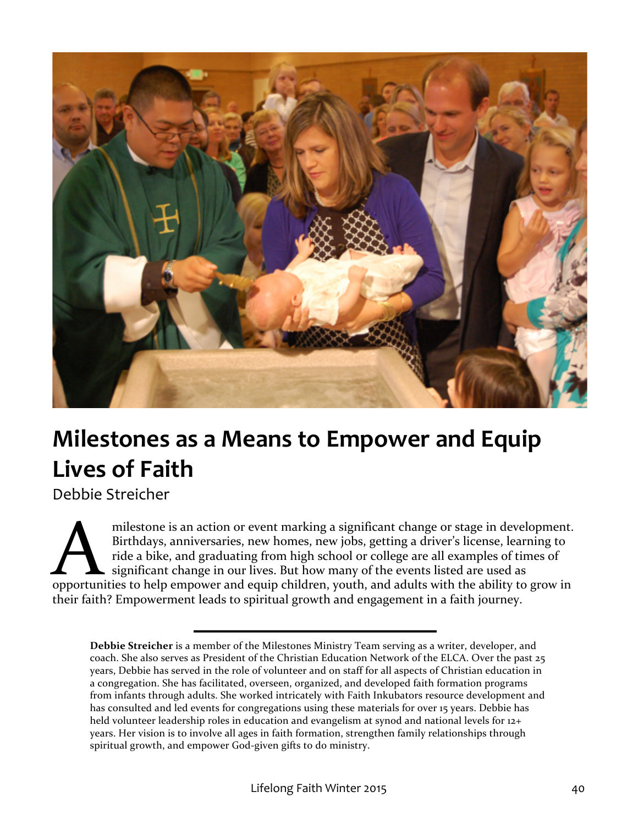

# **Milestones as a Means to Empower and Equip** Lives of Faith

Debbie 
 Streicher

milestone is an action or event marking a significant change or stage in development. Birthdays, anniversaries, new homes, new jobs, getting a driver's license, learning to ride a bike, and graduating from high school or college are all examples of times of significant change in our lives. But how many of the events listed are used as milestone is an action or event marking a significant change or stage in development.<br>Birthdays, anniversaries, new homes, new jobs, getting a driver's license, learning to<br>ride a bike, and graduating from high school or c their faith? Empowerment leads to spiritual growth and engagement in a faith journey.

**Debbie Streicher** is a member of the Milestones Ministry Team serving as a writer, developer, and coach. She also serves as President of the Christian Education Network of the ELCA. Over the past 25 years, Debbie has served in the role of volunteer and on staff for all aspects of Christian education in a congregation. She has facilitated, overseen, organized, and developed faith formation programs from infants through adults. She worked intricately with Faith Inkubators resource development and has consulted and led events for congregations using these materials for over 15 years. Debbie has held volunteer leadership roles in education and evangelism at synod and national levels for 12+ years. Her vision is to involve all ages in faith formation, strengthen family relationships through spiritual growth, and empower God-given gifts to do ministry.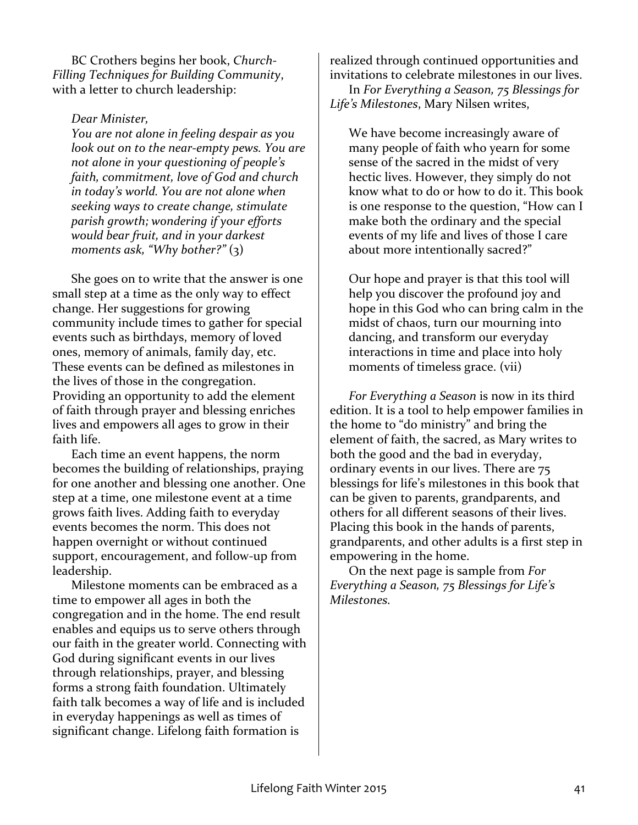BC Crothers begins her book, *Church-*Filling Techniques for Building Community, with a letter to church leadership:

#### *Dear 
 Minister,*

*You are not alone in feeling despair as you look out on to the near-empty pews. You are* not alone in your questioning of people's faith, commitment, love of God and church in today's world. You are not alone when seeking ways to create change, stimulate parish growth; wondering if your efforts would bear fruit, and in your darkest moments ask, "Why bother?" (3)

She goes on to write that the answer is one small step at a time as the only way to effect change. Her suggestions for growing community include times to gather for special events such as birthdays, memory of loved ones, memory of animals, family day, etc. These events can be defined as milestones in the lives of those in the congregation. Providing an opportunity to add the element of faith through prayer and blessing enriches lives and empowers all ages to grow in their faith life.

Each time an event happens, the norm becomes the building of relationships, praying for one another and blessing one another. One step at a time, one milestone event at a time grows faith lives. Adding faith to everyday events becomes the norm. This does not happen overnight or without continued support, encouragement, and follow-up from leadership. 

Milestone moments can be embraced as a time to empower all ages in both the congregation and in the home. The end result enables and equips us to serve others through our faith in the greater world. Connecting with God during significant events in our lives through relationships, prayer, and blessing forms a strong faith foundation. Ultimately faith talk becomes a way of life and is included in everyday happenings as well as times of significant change. Lifelong faith formation is

realized through continued opportunities and invitations to celebrate milestones in our lives.

In For Everything a Season, 75 Blessings for Life's Milestones, Mary Nilsen writes,

We have become increasingly aware of many people of faith who yearn for some sense of the sacred in the midst of very hectic lives. However, they simply do not know what to do or how to do it. This book is one response to the question, "How can I make both the ordinary and the special events of my life and lives of those I care about more intentionally sacred?"

Our hope and prayer is that this tool will help you discover the profound joy and hope in this God who can bring calm in the midst of chaos, turn our mourning into dancing, and transform our everyday interactions in time and place into holy moments of timeless grace. (vii)

*For Everything a Season* is now in its third edition. It is a tool to help empower families in the home to "do ministry" and bring the element of faith, the sacred, as Mary writes to both the good and the bad in everyday, ordinary events in our lives. There are 75 blessings for life's milestones in this book that can be given to parents, grandparents, and others for all different seasons of their lives. Placing this book in the hands of parents, grandparents, and other adults is a first step in empowering in the home.

On the next page is sample from For *Everything a Season, 75 Blessings for Life's Milestones.*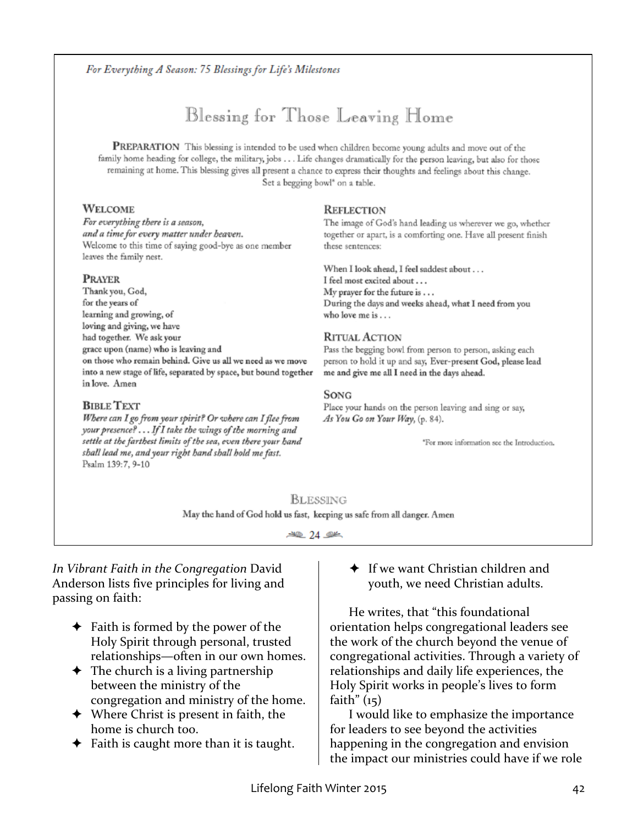#### For Everything A Season: 75 Blessings for Life's Milestones

### Blessing for Those Leaving Home

PREPARATION This blessing is intended to be used when children become young adults and move out of the family home heading for college, the military, jobs . . . Life changes dramatically for the person leaving, but also for those remaining at home. This blessing gives all present a chance to express their thoughts and feelings about this change. Set a begging bowl\* on a table.

#### **WELCOME**

For everything there is a season, and a time for every matter under heaven. Welcome to this time of saying good-bye as one member leaves the family nest.

#### **PRAYER**

Thank you, God, for the years of learning and growing, of loving and giving, we have had together. We ask your grace upon (name) who is leaving and on those who remain behind. Give us all we need as we move into a new stage of life, separated by space, but bound together in love. Amen

#### **BIBLE TEXT**

Where can I go from your spirit? Or where can I flee from your presence?... If I take the wings of the morning and settle at the farthest limits of the sea, even there your hand shall lead me, and your right hand shall hold me fast. Psalm 139:7, 9-10

#### **REFLECTION**

The image of God's hand leading us wherever we go, whether together or apart, is a comforting one. Have all present finish these sentences:

When I look ahead, I feel saddest about . . . I feel most excited about . . . My prayer for the future is . . . During the days and weeks ahead, what I need from you who love me is . . .

#### **RITUAL ACTION**

Pass the begging bowl from person to person, asking each person to hold it up and say, Ever-present God, please lead me and give me all I need in the days ahead.

#### SONG

Place your hands on the person leaving and sing or say, As You Go on Your Way, (p. 84).

\*For more information see the Introduction.

#### BLESSING

May the hand of God hold us fast, keeping us safe from all danger. Amen

 $-40.24$ 

In Vibrant Faith in the Congregation David Anderson lists five principles for living and passing on faith:

- $\triangle$  Faith is formed by the power of the Holy Spirit through personal, trusted relationships—often in our own homes.
- $\rightarrow$  The church is a living partnership between the ministry of the congregation and ministry of the home.
- $\rightarrow$  Where Christ is present in faith, the home is church too.
- $\blacklozenge$  Faith is caught more than it is taught.

 $\bigstar$  If we want Christian children and youth, we need Christian adults.

He writes, that "this foundational orientation helps congregational leaders see the work of the church beyond the venue of congregational activities. Through a variety of relationships and daily life experiences, the Holy Spirit works in people's lives to form faith"  $(15)$ 

I would like to emphasize the importance for leaders to see beyond the activities happening in the congregation and envision the impact our ministries could have if we role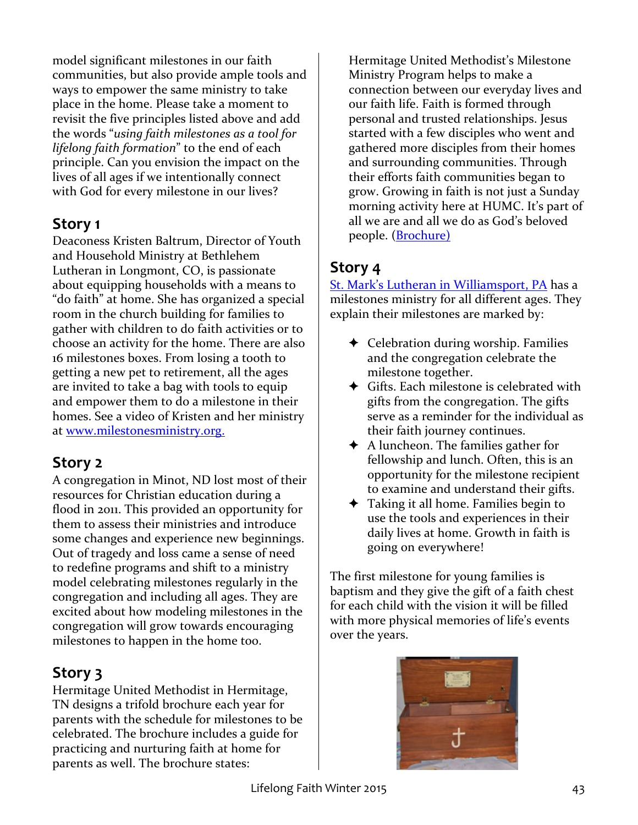model significant milestones in our faith communities, but also provide ample tools and ways to empower the same ministry to take place in the home. Please take a moment to revisit the five principles listed above and add the words "using faith milestones as a tool for lifelong faith formation" to the end of each principle. Can you envision the impact on the lives of all ages if we intentionally connect with God for every milestone in our lives?

### **Story 1**

Deaconess Kristen Baltrum, Director of Youth and Household Ministry at Bethlehem Lutheran in Longmont, CO, is passionate about equipping households with a means to "do faith" at home. She has organized a special room in the church building for families to gather with children to do faith activities or to choose an activity for the home. There are also 16 milestones boxes. From losing a tooth to getting a new pet to retirement, all the ages are invited to take a bag with tools to equip and empower them to do a milestone in their homes. See a video of Kristen and her ministry at www.milestonesministry.org.

### **Story 2**

A congregation in Minot, ND lost most of their resources for Christian education during a flood in 2011. This provided an opportunity for them to assess their ministries and introduce some changes and experience new beginnings. Out of tragedy and loss came a sense of need to redefine programs and shift to a ministry model celebrating milestones regularly in the congregation and including all ages. They are excited about how modeling milestones in the congregation will grow towards encouraging milestones to happen in the home too.

### **Story** 3

Hermitage United Methodist in Hermitage, TN designs a trifold brochure each year for parents with the schedule for milestones to be celebrated. The brochure includes a guide for practicing and nurturing faith at home for parents as well. The brochure states:

Hermitage United Methodist's Milestone Ministry Program helps to make a connection between our everyday lives and our faith life. Faith is formed through personal and trusted relationships. Jesus started with a few disciples who went and gathered more disciples from their homes and surrounding communities. Through their efforts faith communities began to grow. Growing in faith is not just a Sunday morning activity here at HUMC. It's part of all we are and all we do as God's beloved people. (Brochure)

### **Story 4**

St. Mark's Lutheran in Williamsport, PA has a milestones ministry for all different ages. They explain their milestones are marked by:

- $\triangleleft$  Celebration during worship. Families and the congregation celebrate the milestone together.
- $\triangleleft$  Gifts. Each milestone is celebrated with gifts from the congregation. The gifts serve as a reminder for the individual as their faith journey continues.
- $\triangle$  A luncheon. The families gather for fellowship and lunch. Often, this is an opportunity for the milestone recipient to examine and understand their gifts.
- $\triangleleft$  Taking it all home. Families begin to use the tools and experiences in their daily lives at home. Growth in faith is going on everywhere!

The first milestone for young families is baptism and they give the gift of a faith chest for each child with the vision it will be filled with more physical memories of life's events over the years.

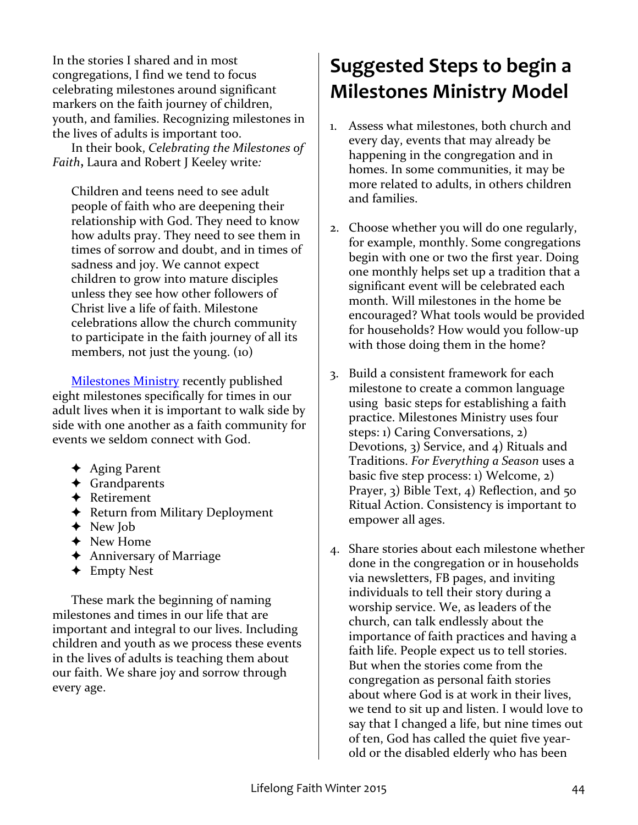In the stories I shared and in most congregations, I find we tend to focus celebrating milestones around significant markers on the faith journey of children, youth, and families. Recognizing milestones in the lives of adults is important too.

In their book, *Celebrating the Milestones of Faith*, Laura and Robert J Keeley write:

Children and teens need to see adult people of faith who are deepening their relationship with God. They need to know how adults pray. They need to see them in times of sorrow and doubt, and in times of sadness and joy. We cannot expect children to grow into mature disciples unless they see how other followers of Christ live a life of faith. Milestone celebrations allow the church community to participate in the faith journey of all its members, not just the young.  $(10)$ 

Milestones Ministry recently published eight milestones specifically for times in our adult lives when it is important to walk side by side with one another as a faith community for events we seldom connect with God.

- $\triangleleft$  Aging Parent
- ✦ Grandparents
- ✦ Retirement
- **←** Return from Military Deployment
- ◆ New Job
- ◆ New Home
- $\triangleleft$  Anniversary of Marriage
- ✦ Empty 
 Nest

These mark the beginning of naming milestones and times in our life that are important and integral to our lives. Including children and youth as we process these events in the lives of adults is teaching them about our faith. We share joy and sorrow through every age.

## **Suggested Steps to begin a Milestones Ministry Model**

- 1. Assess what milestones, both church and every day, events that may already be happening in the congregation and in homes. In some communities, it may be more related to adults, in others children and families.
- 2. Choose whether you will do one regularly, for example, monthly. Some congregations begin with one or two the first year. Doing one monthly helps set up a tradition that a significant event will be celebrated each month. Will milestones in the home be encouraged? What tools would be provided for households? How would you follow-up with those doing them in the home?
- 3. Build a consistent framework for each milestone to create a common language using basic steps for establishing a faith practice. Milestones Ministry uses four steps: 1) Caring Conversations,  $2$ ) Devotions,  $3)$  Service, and  $4)$  Rituals and Traditions. For Everything a Season uses a basic five step process:  $1)$  Welcome,  $2)$ Prayer,  $\overline{3}$ ) Bible Text,  $\overline{4}$ ) Reflection, and  $\overline{5}$ o Ritual Action. Consistency is important to empower all ages.
- 4. Share stories about each milestone whether done in the congregation or in households via newsletters, FB pages, and inviting individuals to tell their story during a worship service. We, as leaders of the church, can talk endlessly about the importance of faith practices and having a faith life. People expect us to tell stories. But when the stories come from the congregation as personal faith stories about where God is at work in their lives. we tend to sit up and listen. I would love to say that I changed a life, but nine times out of ten, God has called the quiet five yearold or the disabled elderly who has been